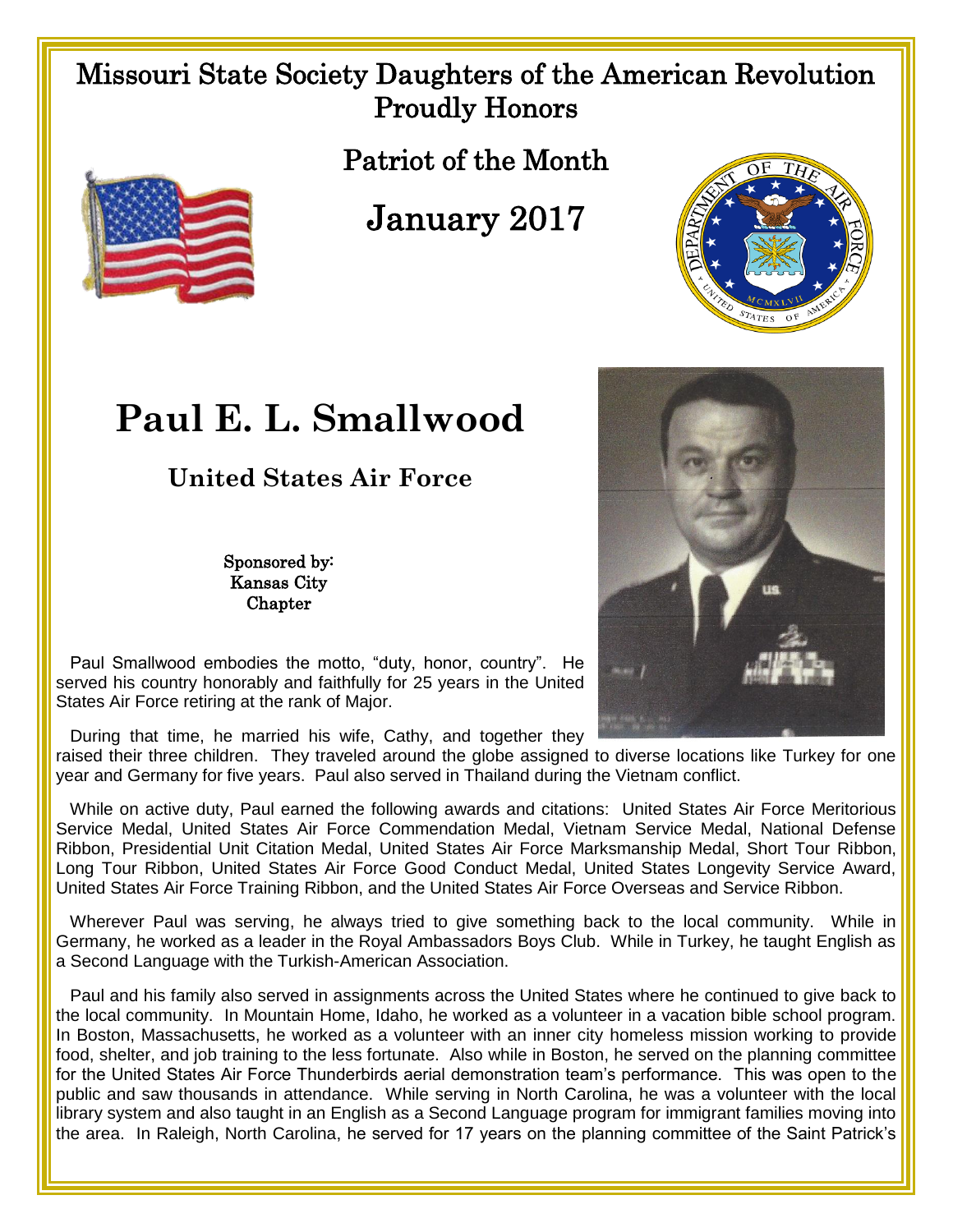## Missouri State Society Daughters of the American Revolution Proudly Honors

Patriot of the Month

January 2017



## **Paul E. L. Smallwood**

**United States Air Force**

Sponsored by: Kansas City Chapter



 Paul Smallwood embodies the motto, "duty, honor, country". He served his country honorably and faithfully for 25 years in the United States Air Force retiring at the rank of Major.

During that time, he married his wife, Cathy, and together they

raised their three children. They traveled around the globe assigned to diverse locations like Turkey for one year and Germany for five years. Paul also served in Thailand during the Vietnam conflict.

 While on active duty, Paul earned the following awards and citations: United States Air Force Meritorious Service Medal, United States Air Force Commendation Medal, Vietnam Service Medal, National Defense Ribbon, Presidential Unit Citation Medal, United States Air Force Marksmanship Medal, Short Tour Ribbon, Long Tour Ribbon, United States Air Force Good Conduct Medal, United States Longevity Service Award, United States Air Force Training Ribbon, and the United States Air Force Overseas and Service Ribbon.

 Wherever Paul was serving, he always tried to give something back to the local community. While in Germany, he worked as a leader in the Royal Ambassadors Boys Club. While in Turkey, he taught English as a Second Language with the Turkish-American Association.

 Paul and his family also served in assignments across the United States where he continued to give back to the local community. In Mountain Home, Idaho, he worked as a volunteer in a vacation bible school program. In Boston, Massachusetts, he worked as a volunteer with an inner city homeless mission working to provide food, shelter, and job training to the less fortunate. Also while in Boston, he served on the planning committee for the United States Air Force Thunderbirds aerial demonstration team's performance. This was open to the public and saw thousands in attendance. While serving in North Carolina, he was a volunteer with the local library system and also taught in an English as a Second Language program for immigrant families moving into the area. In Raleigh, North Carolina, he served for 17 years on the planning committee of the Saint Patrick's